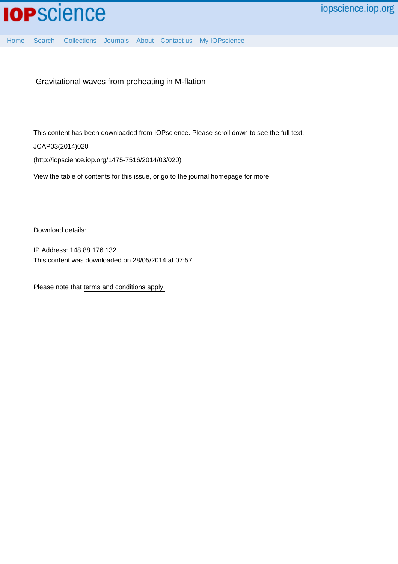

[Home](http://iopscience.iop.org/) [Search](http://iopscience.iop.org/search) [Collections](http://iopscience.iop.org/collections) [Journals](http://iopscience.iop.org/journals) [About](http://iopscience.iop.org/page/aboutioppublishing) [Contact us](http://iopscience.iop.org/contact) [My IOPscience](http://iopscience.iop.org/myiopscience)

Gravitational waves from preheating in M-flation

This content has been downloaded from IOPscience. Please scroll down to see the full text.

JCAP03(2014)020

(http://iopscience.iop.org/1475-7516/2014/03/020)

View [the table of contents for this issue](http://iopscience.iop.org/1475-7516/2014/03), or go to the [journal homepage](http://iopscience.iop.org/1475-7516) for more

Download details:

IP Address: 148.88.176.132 This content was downloaded on 28/05/2014 at 07:57

Please note that [terms and conditions apply.](iopscience.iop.org/page/terms)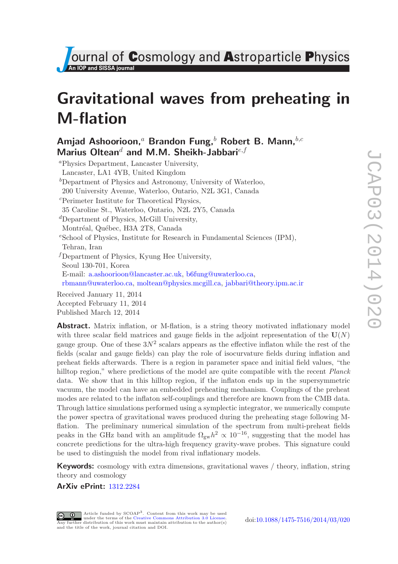**Journal of Cosmology and Astroparticle Physics** 

# Gravitational waves from preheating in M-flation

# Amjad Ashoorioon,<sup>a</sup> Brandon Fung,<sup>b</sup> Robert B. Mann, $b,c$ Marius Oltean<sup>d</sup> and M.M. Sheikh-Jabbari<sup>e, f</sup>

<sup>a</sup>Physics Department, Lancaster University, Lancaster, LA1 4YB, United Kingdom  ${}^b$ Department of Physics and Astronomy, University of Waterloo, 200 University Avenue, Waterloo, Ontario, N2L 3G1, Canada <sup>c</sup>Perimeter Institute for Theoretical Physics, 35 Caroline St., Waterloo, Ontario, N2L 2Y5, Canada  ${}^d$ Department of Physics, McGill University, Montréal, Québec, H3A 2T8, Canada  $e$ School of Physics, Institute for Research in Fundamental Sciences (IPM), Tehran, Iran  $<sup>f</sup>$ Department of Physics, Kyung Hee University,</sup> Seoul 130-701, Korea E-mail: [a.ashoorioon@lancaster.ac.uk,](mailto:a.ashoorioon@lancaster.ac.uk) [b6fung@uwaterloo.ca,](mailto:b6fung@uwaterloo.ca) [rbmann@uwaterloo.ca,](mailto:rbmann@uwaterloo.ca) [moltean@physics.mcgill.ca,](mailto:moltean@physics.mcgill.ca) [jabbari@theory.ipm.ac.ir](mailto:jabbari@theory.ipm.ac.ir)

Received January 11, 2014 Accepted February 11, 2014 Published March 12, 2014

Abstract. Matrix inflation, or M-flation, is a string theory motivated inflationary model with three scalar field matrices and gauge fields in the adjoint representation of the  $U(N)$ gauge group. One of these  $3N^2$  scalars appears as the effective inflaton while the rest of the fields (scalar and gauge fields) can play the role of isocurvature fields during inflation and preheat fields afterwards. There is a region in parameter space and initial field values, "the hilltop region," where predictions of the model are quite compatible with the recent *Planck* data. We show that in this hilltop region, if the inflaton ends up in the supersymmetric vacuum, the model can have an embedded preheating mechanism. Couplings of the preheat modes are related to the inflaton self-couplings and therefore are known from the CMB data. Through lattice simulations performed using a symplectic integrator, we numerically compute the power spectra of gravitational waves produced during the preheating stage following Mflation. The preliminary numerical simulation of the spectrum from multi-preheat fields peaks in the GHz band with an amplitude  $\Omega_{\rm gw} h^2 \propto 10^{-16}$ , suggesting that the model has concrete predictions for the ultra-high frequency gravity-wave probes. This signature could be used to distinguish the model from rival inflationary models.

**Keywords:** cosmology with extra dimensions, gravitational waves / theory, inflation, string theory and cosmology

# ArXiv ePrint: [1312.2284](http://arxiv.org/abs/1312.2284)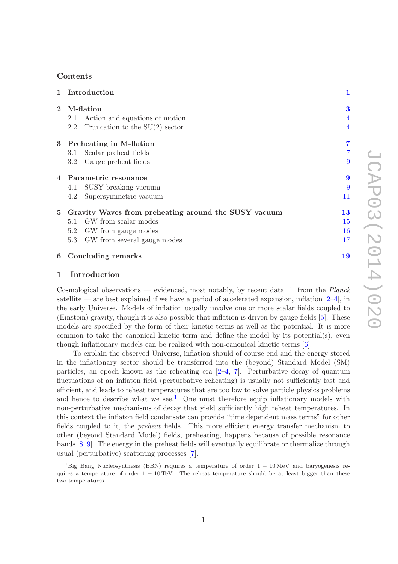# Contents

|              | 1 Introduction                                       | 1                |
|--------------|------------------------------------------------------|------------------|
| $\mathbf{2}$ | M-flation                                            | 3                |
|              | Action and equations of motion<br>2.1                | $\overline{4}$   |
|              | 2.2 Truncation to the $SU(2)$ sector                 | $\overline{4}$   |
|              | 3 Preheating in M-flation                            | 7                |
|              | Scalar preheat fields<br>3.1                         |                  |
|              | Gauge preheat fields<br>3.2                          | 9                |
|              | 4 Parametric resonance                               | $\boldsymbol{9}$ |
|              | 4.1 SUSY-breaking vacuum                             | 9                |
|              | Supersymmetric vacuum<br>4.2                         | 11               |
| 5            | Gravity Waves from preheating around the SUSY vacuum | 13               |
|              | 5.1 GW from scalar modes                             | 15               |
|              | GW from gauge modes<br>5.2                           | 16               |
|              | 5.3 GW from several gauge modes                      | 17               |
|              | 6 Concluding remarks                                 | 19               |

# <span id="page-2-0"></span>1 Introduction

Cosmological observations — evidenced, most notably, by recent data [\[1\]](#page-21-0) from the *Planck* satellite — are best explained if we have a period of accelerated expansion, inflation  $[2-4]$ , in the early Universe. Models of inflation usually involve one or more scalar fields coupled to (Einstein) gravity, though it is also possible that inflation is driven by gauge fields [\[5\]](#page-21-3). These models are specified by the form of their kinetic terms as well as the potential. It is more common to take the canonical kinetic term and define the model by its potential(s), even though inflationary models can be realized with non-canonical kinetic terms [\[6](#page-21-4)].

To explain the observed Universe, inflation should of course end and the energy stored in the inflationary sector should be transferred into the (beyond) Standard Model (SM) particles, an epoch known as the reheating era  $[2-4, 7]$  $[2-4, 7]$  $[2-4, 7]$ . Perturbative decay of quantum fluctuations of an inflaton field (perturbative reheating) is usually not sufficiently fast and efficient, and leads to reheat temperatures that are too low to solve particle physics problems and hence to describe what we see.<sup>[1](#page-2-1)</sup> One must therefore equip inflationary models with non-perturbative mechanisms of decay that yield sufficiently high reheat temperatures. In this context the inflaton field condensate can provide "time dependent mass terms" for other fields coupled to it, the *preheat* fields. This more efficient energy transfer mechanism to other (beyond Standard Model) fields, preheating, happens because of possible resonance bands [\[8](#page-21-6), [9](#page-21-7)]. The energy in the preheat fields will eventually equilibrate or thermalize through usual (perturbative) scattering processes [\[7\]](#page-21-5).

<span id="page-2-1"></span><sup>&</sup>lt;sup>1</sup>Big Bang Nucleosynthesis (BBN) requires a temperature of order  $1 - 10$  MeV and baryogenesis requires a temperature of order  $1 - 10$  TeV. The reheat temperature should be at least bigger than these two temperatures.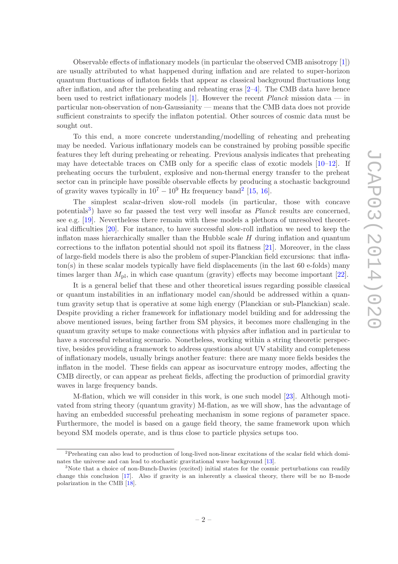Observable effects of inflationary models (in particular the observed CMB anisotropy [\[1](#page-21-0)]) are usually attributed to what happened during inflation and are related to super-horizon quantum fluctuations of inflaton fields that appear as classical background fluctuations long after inflation, and after the preheating and reheating eras [\[2](#page-21-1)[–4](#page-21-2)]. The CMB data have hence been used to restrict inflationary models [\[1](#page-21-0)]. However the recent  $Planck$  mission data — in particular non-observation of non-Gaussianity — means that the CMB data does not provide sufficient constraints to specify the inflaton potential. Other sources of cosmic data must be sought out.

To this end, a more concrete understanding/modelling of reheating and preheating may be needed. Various inflationary models can be constrained by probing possible specific features they left during preheating or reheating. Previous analysis indicates that preheating may have detectable traces on CMB only for a specific class of exotic models [\[10](#page-21-8)[–12\]](#page-22-0). If preheating occurs the turbulent, explosive and non-thermal energy transfer to the preheat sector can in principle have possible observable effects by producing a stochastic background of gravity waves typically in  $10^7 - 10^9$  Hz frequency band<sup>[2](#page-3-0)</sup> [\[15,](#page-22-1) [16](#page-22-2)].

The simplest scalar-driven slow-roll models (in particular, those with concave potentials<sup>[3](#page-3-1)</sup>) have so far passed the test very well insofar as *Planck* results are concerned, see e.g. [\[19\]](#page-22-3). Nevertheless there remain with these models a plethora of unresolved theoretical difficulties [\[20\]](#page-22-4). For instance, to have successful slow-roll inflation we need to keep the inflaton mass hierarchically smaller than the Hubble scale  $H$  during inflation and quantum corrections to the inflaton potential should not spoil its flatness [\[21](#page-22-5)]. Moreover, in the class of large-field models there is also the problem of super-Planckian field excursions: that inflaton(s) in these scalar models typically have field displacements (in the last 60 e-folds) many times larger than  $M_{\text{pl}}$ , in which case quantum (gravity) effects may become important [\[22](#page-22-6)].

It is a general belief that these and other theoretical issues regarding possible classical or quantum instabilities in an inflationary model can/should be addressed within a quantum gravity setup that is operative at some high energy (Planckian or sub-Planckian) scale. Despite providing a richer framework for inflationary model building and for addressing the above mentioned issues, being farther from SM physics, it becomes more challenging in the quantum gravity setups to make connections with physics after inflation and in particular to have a successful reheating scenario. Nonetheless, working within a string theoretic perspective, besides providing a framework to address questions about UV stability and completeness of inflationary models, usually brings another feature: there are many more fields besides the inflaton in the model. These fields can appear as isocurvature entropy modes, affecting the CMB directly, or can appear as preheat fields, affecting the production of primordial gravity waves in large frequency bands.

M-flation, which we will consider in this work, is one such model [\[23](#page-22-7)]. Although motivated from string theory (quantum gravity) M-flation, as we will show, has the advantage of having an embedded successful preheating mechanism in some regions of parameter space. Furthermore, the model is based on a gauge field theory, the same framework upon which beyond SM models operate, and is thus close to particle physics setups too.

<span id="page-3-0"></span><sup>&</sup>lt;sup>2</sup>Preheating can also lead to production of long-lived non-linear excitations of the scalar field which dominates the universe and can lead to stochastic gravitational wave background [\[13](#page-22-8)].

<span id="page-3-1"></span><sup>&</sup>lt;sup>3</sup>Note that a choice of non-Bunch-Davies (excited) initial states for the cosmic perturbations can readily change this conclusion [\[17\]](#page-22-9). Also if gravity is an inherently a classical theory, there will be no B-mode polarization in the CMB [\[18](#page-22-10)].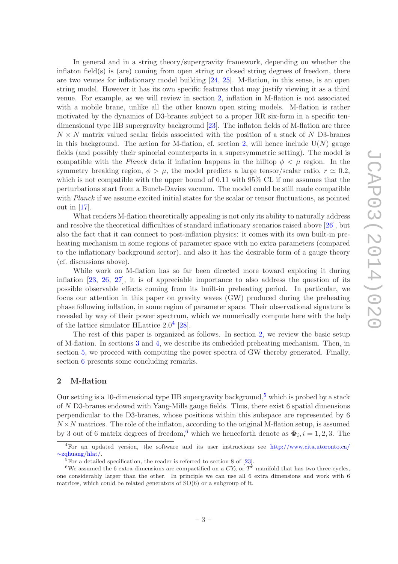In general and in a string theory/supergravity framework, depending on whether the inflaton field(s) is (are) coming from open string or closed string degrees of freedom, there are two venues for inflationary model building [\[24,](#page-22-11) [25\]](#page-22-12). M-flation, in this sense, is an open string model. However it has its own specific features that may justify viewing it as a third venue. For example, as we will review in section [2,](#page-4-0) inflation in M-flation is not associated with a mobile brane, unlike all the other known open string models. M-flation is rather motivated by the dynamics of D3-branes subject to a proper RR six-form in a specific tendimensional type IIB supergravity background [\[23](#page-22-7)]. The inflaton fields of M-flation are three  $N \times N$  matrix valued scalar fields associated with the position of a stack of N D3-branes in this background. The action for M-flation, cf. section [2,](#page-4-0) will hence include  $U(N)$  gauge fields (and possibly their spinorial counterparts in a supersymmetric setting). The model is compatible with the Planck data if inflation happens in the hilltop  $\phi < \mu$  region. In the symmetry breaking region,  $\phi > \mu$ , the model predicts a large tensor/scalar ratio,  $r \simeq 0.2$ , which is not compatible with the upper bound of 0.11 with 95% CL if one assumes that the perturbations start from a Bunch-Davies vacuum. The model could be still made compatible with Planck if we assume excited initial states for the scalar or tensor fluctuations, as pointed out in [\[17](#page-22-9)].

What renders M-flation theoretically appealing is not only its ability to naturally address and resolve the theoretical difficulties of standard inflationary scenarios raised above [\[26\]](#page-22-13), but also the fact that it can connect to post-inflation physics: it comes with its own built-in preheating mechanism in some regions of parameter space with no extra parameters (compared to the inflationary background sector), and also it has the desirable form of a gauge theory (cf. discussions above).

While work on M-flation has so far been directed more toward exploring it during inflation [\[23,](#page-22-7) [26](#page-22-13), [27](#page-22-14)], it is of appreciable importance to also address the question of its possible observable effects coming from its built-in preheating period. In particular, we focus our attention in this paper on gravity waves (GW) produced during the preheating phase following inflation, in some region of parameter space. Their observational signature is revealed by way of their power spectrum, which we numerically compute here with the help of the lattice simulator HLattice  $2.0^4$  $2.0^4$  [\[28](#page-22-15)].

The rest of this paper is organized as follows. In section [2,](#page-4-0) we review the basic setup of M-flation. In sections [3](#page-8-0) and [4,](#page-10-1) we describe its embedded preheating mechanism. Then, in section [5,](#page-14-0) we proceed with computing the power spectra of GW thereby generated. Finally, section [6](#page-20-0) presents some concluding remarks.

## <span id="page-4-0"></span>2 M-flation

Our setting is a 10-dimensional type IIB supergravity background,<sup>[5](#page-4-2)</sup> which is probed by a stack of N D3-branes endowed with Yang-Mills gauge fields. Thus, there exist 6 spatial dimensions perpendicular to the D3-branes, whose positions within this subspace are represented by 6  $N \times N$  matrices. The role of the inflaton, according to the original M-flation setup, is assumed by 3 out of [6](#page-4-3) matrix degrees of freedom,<sup>6</sup> which we henceforth denote as  $\Phi_i$ ,  $i = 1, 2, 3$ . The

<sup>4</sup>For an updated version, the software and its user instructions see [http://www.cita.utoronto.ca/](http://www.cita.utoronto.ca/~zqhuang/hlat/) ∼[zqhuang/hlat/.](http://www.cita.utoronto.ca/~zqhuang/hlat/)

<span id="page-4-2"></span><span id="page-4-1"></span> $5$ For a detailed specification, the reader is referred to section 8 of [\[23](#page-22-7)].

<span id="page-4-3"></span><sup>&</sup>lt;sup>6</sup>We assumed the 6 extra-dimensions are compactified on a  $CY_3$  or  $T^6$  manifold that has two three-cycles, one considerably larger than the other. In principle we can use all 6 extra dimensions and work with 6 matrices, which could be related generators of SO(6) or a subgroup of it.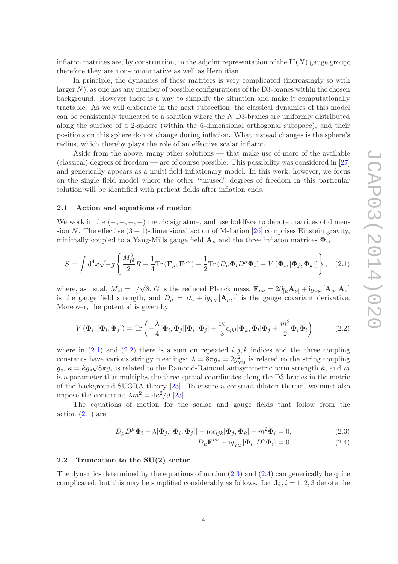inflaton matrices are, by construction, in the adjoint representation of the  $U(N)$  gauge group; therefore they are non-commutative as well as Hermitian.

In principle, the dynamics of these matrices is very complicated (increasingly so with larger  $N$ ), as one has any number of possible configurations of the D3-branes within the chosen background. However there is a way to simplify the situation and make it computationally tractable. As we will elaborate in the next subsection, the classical dynamics of this model can be consistently truncated to a solution where the N D3-branes are uniformly distributed along the surface of a 2-sphere (within the 6-dimensional orthogonal subspace), and their positions on this sphere do not change during inflation. What instead changes is the sphere's radius, which thereby plays the role of an effective scalar inflaton.

Aside from the above, many other solutions — that make use of more of the available (classical) degrees of freedom — are of course possible. This possibility was considered in [\[27](#page-22-14)] and generically appears as a multi field inflationary model. In this work, however, we focus on the single field model where the other "unused" degrees of freedom in this particular solution will be identified with preheat fields after inflation ends.

#### <span id="page-5-0"></span>2.1 Action and equations of motion

We work in the  $(-, +, +, +)$  metric signature, and use boldface to denote matrices of dimension N. The effective  $(3 + 1)$ -dimensional action of M-flation [\[26\]](#page-22-13) comprises Einstein gravity, minimally coupled to a Yang-Mills gauge field  ${\bf A}_\mu$  and the three inflaton matrices  $\pmb{\Phi}_i$ ,

<span id="page-5-2"></span>
$$
S = \int d^4x \sqrt{-g} \left\{ \frac{M_{\rm pl}^2}{2} R - \frac{1}{4} \text{Tr} \left( \mathbf{F}_{\mu\nu} \mathbf{F}^{\mu\nu} \right) - \frac{1}{2} \text{Tr} \left( D_\mu \mathbf{\Phi}_i D^\mu \mathbf{\Phi}_i \right) - V \left( \mathbf{\Phi}_i, [\mathbf{\Phi}_j, \mathbf{\Phi}_k] \right) \right\}, \quad (2.1)
$$

where, as usual,  $M_{\rm pl} = 1/\sqrt{8\pi G}$  is the reduced Planck mass,  $\mathbf{F}_{\mu\nu} = 2\partial_{\lbrack\mu}\mathbf{A}_{\nu\rbrack} + ig_{\rm YM}[\mathbf{A}_{\mu}, \mathbf{A}_{\nu}]$ is the gauge field strength, and  $D_{\mu} = \partial_{\mu} + ig_{YM}[\mathbf{A}_{\mu}, \cdot]$  is the gauge covariant derivative. Moreover, the potential is given by

<span id="page-5-3"></span>
$$
V\left(\mathbf{\Phi}_i, [\mathbf{\Phi}_i, \mathbf{\Phi}_j]\right) = \text{Tr}\left(-\frac{\lambda}{4}[\mathbf{\Phi}_i, \mathbf{\Phi}_j][\mathbf{\Phi}_i, \mathbf{\Phi}_j] + \frac{\text{i}\kappa}{3}\epsilon_{jkl}[\mathbf{\Phi}_k, \mathbf{\Phi}_l]\mathbf{\Phi}_j + \frac{m^2}{2}\mathbf{\Phi}_i\mathbf{\Phi}_i\right),\tag{2.2}
$$

where in  $(2.1)$  and  $(2.2)$  there is a sum on repeated  $i, j, k$  indices and the three coupling constants have various stringy meanings:  $\lambda = 8\pi g_s = 2g_{YM}^2$  is related to the string coupling  $g_s$ ,  $\kappa = \hat{\kappa} g_s \sqrt{8\pi g_s}$  is related to the Ramond-Ramond antisymmetric form strength  $\hat{\kappa}$ , and m is a parameter that multiples the three spatial coordinates along the D3-branes in the metric of the background SUGRA theory [\[23](#page-22-7)]. To ensure a constant dilaton therein, we must also impose the constraint  $\lambda m^2 = 4\kappa^2/9$  [\[23\]](#page-22-7).

The equations of motion for the scalar and gauge fields that follow from the  $\arctan(2.1)$  are

$$
D_{\mu}D^{\mu}\Phi_i + \lambda[\Phi_j, [\Phi_i, \Phi_j]] - i\kappa \epsilon_{ijk}[\Phi_j, \Phi_k] - m^2 \Phi_i = 0,
$$
\n(2.3)

<span id="page-5-5"></span><span id="page-5-4"></span>
$$
D_{\mu}\mathbf{F}^{\mu\nu} - \mathrm{i}g_{\scriptscriptstyle{\text{YM}}}[\mathbf{\Phi}_i, D^{\nu}\mathbf{\Phi}_i] = 0. \tag{2.4}
$$

#### <span id="page-5-1"></span>2.2 Truncation to the SU(2) sector

The dynamics determined by the equations of motion  $(2.3)$  and  $(2.4)$  can generically be quite complicated, but this may be simplified considerably as follows. Let  $J_i$ ,  $i = 1, 2, 3$  denote the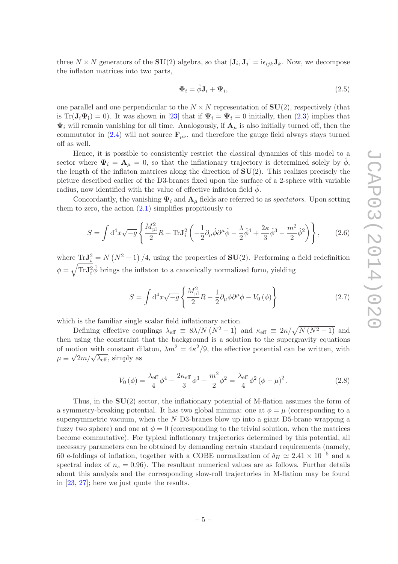three  $N \times N$  generators of the **SU**(2) algebra, so that  $[\mathbf{J}_i, \mathbf{J}_j] = i\epsilon_{ijk} \mathbf{J}_k$ . Now, we decompose the inflaton matrices into two parts,

$$
\mathbf{\Phi}_i = \hat{\phi}\mathbf{J}_i + \mathbf{\Psi}_i,\tag{2.5}
$$

one parallel and one perpendicular to the  $N \times N$  representation of  $SU(2)$ , respectively (that is Tr( $\mathbf{J}_i \Psi_i$ ) = 0). It was shown in [\[23](#page-22-7)] that if  $\Psi_i = \dot{\Psi}_i = 0$  initially, then [\(2.3\)](#page-5-4) implies that  $\Psi_i$  will remain vanishing for all time. Analogously, if  $\mathbf{A}_{\mu}$  is also initially turned off, then the commutator in [\(2.4\)](#page-5-5) will not source  $\mathbf{F}_{\mu\nu}$ , and therefore the gauge field always stays turned off as well.

Hence, it is possible to consistently restrict the classical dynamics of this model to a sector where  $\Psi_i = \mathbf{A}_{\mu} = 0$ , so that the inflationary trajectory is determined solely by  $\phi$ , the length of the inflaton matrices along the direction of  $SU(2)$ . This realizes precisely the picture described earlier of the D3-branes fixed upon the surface of a 2-sphere with variable radius, now identified with the value of effective inflaton field  $\phi$ .

Concordantly, the vanishing  $\Psi_i$  and  $\mathbf{A}_{\mu}$  fields are referred to as *spectators*. Upon setting them to zero, the action  $(2.1)$  simplifies propitiously to

$$
S = \int d^4x \sqrt{-g} \left\{ \frac{M_{\rm pl}^2}{2} R + \text{Tr} \mathbf{J}_i^2 \left( -\frac{1}{2} \partial_\mu \hat{\phi} \partial^\mu \hat{\phi} - \frac{\lambda}{2} \hat{\phi}^4 + \frac{2\kappa}{3} \hat{\phi}^3 - \frac{m^2}{2} \hat{\phi}^2 \right) \right\}, \tag{2.6}
$$

where  $\text{Tr} \mathbf{J}_i^2 = N (N^2 - 1) / 4$ , using the properties of  $\text{SU}(2)$ . Performing a field redefinition  $\phi = \sqrt{\text{Tr} \mathbf{J}_i^2} \hat{\phi}$  brings the inflaton to a canonically normalized form, yielding

$$
S = \int d^4x \sqrt{-g} \left\{ \frac{M_{\rm pl}^2}{2} R - \frac{1}{2} \partial_\mu \phi \partial^\mu \phi - V_0 (\phi) \right\} \tag{2.7}
$$

which is the familiar single scalar field inflationary action.

Defining effective couplings  $\lambda_{\text{eff}} \equiv 8\lambda/N (N^2 - 1)$  and  $\kappa_{\text{eff}} \equiv 2\kappa/\sqrt{N(N^2 - 1)}$  and then using the constraint that the background is a solution to the supergravity equations of motion with constant dilaton,  $\lambda m^2 = 4\kappa^2/9$ , the effective potential can be written, with  $\mu \equiv \sqrt{2}m/\sqrt{\lambda_{\text{eff}}},$  simply as

$$
V_0(\phi) = \frac{\lambda_{\text{eff}}}{4} \phi^4 - \frac{2\kappa_{\text{eff}}}{3} \phi^3 + \frac{m^2}{2} \phi^2 = \frac{\lambda_{\text{eff}}}{4} \phi^2 (\phi - \mu)^2.
$$
 (2.8)

Thus, in the  $SU(2)$  sector, the inflationary potential of M-flation assumes the form of a symmetry-breaking potential. It has two global minima: one at  $\phi = \mu$  (corresponding to a supersymmetric vacuum, when the N D3-branes blow up into a giant D5-brane wrapping a fuzzy two sphere) and one at  $\phi = 0$  (corresponding to the trivial solution, when the matrices become commutative). For typical inflationary trajectories determined by this potential, all necessary parameters can be obtained by demanding certain standard requirements (namely, 60 e-foldings of inflation, together with a COBE normalization of  $\delta_H \simeq 2.41 \times 10^{-5}$  and a spectral index of  $n_s = 0.96$ ). The resultant numerical values are as follows. Further details about this analysis and the corresponding slow-roll trajectories in M-flation may be found in [\[23,](#page-22-7) [27](#page-22-14)]; here we just quote the results.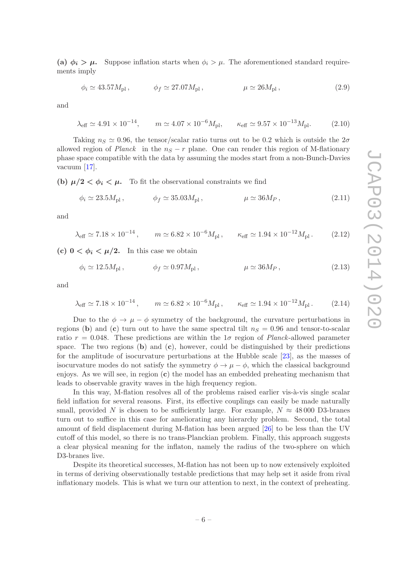(a)  $\phi_i > \mu$ . Suppose inflation starts when  $\phi_i > \mu$ . The aforementioned standard requirements imply

$$
\phi_i \simeq 43.57 M_{\rm pl}, \qquad \phi_f \simeq 27.07 M_{\rm pl}, \qquad \mu \simeq 26 M_{\rm pl}, \qquad (2.9)
$$

and

$$
\lambda_{\text{eff}} \simeq 4.91 \times 10^{-14}, \qquad m \simeq 4.07 \times 10^{-6} M_{\text{pl}}, \qquad \kappa_{\text{eff}} \simeq 9.57 \times 10^{-13} M_{\text{pl}}.
$$
\n(2.10)

Taking  $n_S \simeq 0.96$ , the tensor/scalar ratio turns out to be 0.2 which is outside the  $2\sigma$ allowed region of *Planck* in the  $n<sub>S</sub> - r$  plane. One can render this region of M-flationary phase space compatible with the data by assuming the modes start from a non-Bunch-Davies vacuum [\[17](#page-22-9)].

(b)  $\mu/2 < \phi_i < \mu$ . To fit the observational constraints we find

$$
\phi_i \simeq 23.5 M_{\rm pl}, \qquad \phi_f \simeq 35.03 M_{\rm pl}, \qquad \mu \simeq 36 M_P, \qquad (2.11)
$$

and

$$
\lambda_{\text{eff}} \simeq 7.18 \times 10^{-14}, \qquad m \simeq 6.82 \times 10^{-6} M_{\text{pl}}, \qquad \kappa_{\text{eff}} \simeq 1.94 \times 10^{-12} M_{\text{pl}}.
$$
\n(2.12)

(c)  $0 < \phi_i < \mu/2$ . In this case we obtain

$$
\phi_i \simeq 12.5 M_{\rm pl}, \qquad \phi_f \simeq 0.97 M_{\rm pl}, \qquad \mu \simeq 36 M_P, \qquad (2.13)
$$

and

$$
\lambda_{\text{eff}} \simeq 7.18 \times 10^{-14}, \qquad m \simeq 6.82 \times 10^{-6} M_{\text{pl}}, \qquad \kappa_{\text{eff}} \simeq 1.94 \times 10^{-12} M_{\text{pl}}.
$$
\n(2.14)

Due to the  $\phi \to \mu - \phi$  symmetry of the background, the curvature perturbations in regions (b) and (c) turn out to have the same spectral tilt  $n_S = 0.96$  and tensor-to-scalar ratio  $r = 0.048$ . These predictions are within the 1 $\sigma$  region of *Planck*-allowed parameter space. The two regions  $(b)$  and  $(c)$ , however, could be distinguished by their predictions for the amplitude of isocurvature perturbations at the Hubble scale [\[23](#page-22-7)], as the masses of isocurvature modes do not satisfy the symmetry  $\phi \to \mu - \phi$ , which the classical background enjoys. As we will see, in region  $(c)$  the model has an embedded preheating mechanism that leads to observable gravity waves in the high frequency region.

In this way, M-flation resolves all of the problems raised earlier vis- $\grave{a}$ -vis single scalar field inflation for several reasons. First, its effective couplings can easily be made naturally small, provided N is chosen to be sufficiently large. For example,  $N \approx 48000$  D3-branes turn out to suffice in this case for ameliorating any hierarchy problem. Second, the total amount of field displacement during M-flation has been argued [\[26\]](#page-22-13) to be less than the UV cutoff of this model, so there is no trans-Planckian problem. Finally, this approach suggests a clear physical meaning for the inflaton, namely the radius of the two-sphere on which D3-branes live.

Despite its theoretical successes, M-flation has not been up to now extensively exploited in terms of deriving observationally testable predictions that may help set it aside from rival inflationary models. This is what we turn our attention to next, in the context of preheating.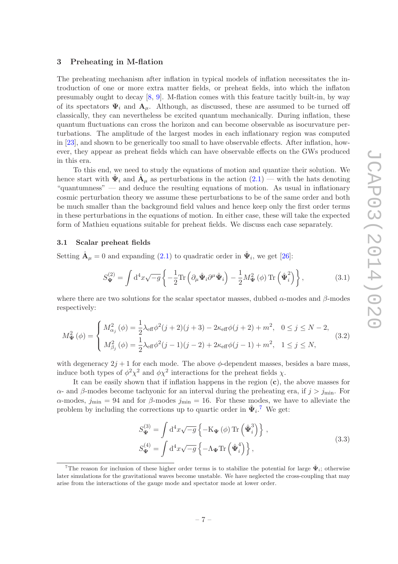#### <span id="page-8-0"></span>3 Preheating in M-flation

The preheating mechanism after inflation in typical models of inflation necessitates the introduction of one or more extra matter fields, or preheat fields, into which the inflaton presumably ought to decay [\[8,](#page-21-6) [9\]](#page-21-7). M-flation comes with this feature tacitly built-in, by way of its spectators  $\Psi_i$  and  $A_\mu$ . Although, as discussed, these are assumed to be turned off classically, they can nevertheless be excited quantum mechanically. During inflation, these quantum fluctuations can cross the horizon and can become observable as isocurvature perturbations. The amplitude of the largest modes in each inflationary region was computed in [\[23\]](#page-22-7), and shown to be generically too small to have observable effects. After inflation, however, they appear as preheat fields which can have observable effects on the GWs produced in this era.

To this end, we need to study the equations of motion and quantize their solution. We hence start with  $\hat{\Psi}_i$  and  $\hat{A}_{\mu}$  as perturbations in the action  $(2.1)$  — with the hats denoting "quantumness" — and deduce the resulting equations of motion. As usual in inflationary cosmic perturbation theory we assume these perturbations to be of the same order and both be much smaller than the background field values and hence keep only the first order terms in these perturbations in the equations of motion. In either case, these will take the expected form of Mathieu equations suitable for preheat fields. We discuss each case separately.

#### <span id="page-8-1"></span>3.1 Scalar preheat fields

Setting  $\hat{\mathbf{A}}_{\mu} = 0$  and expanding [\(2.1\)](#page-5-2) to quadratic order in  $\hat{\mathbf{\Psi}}_i$ , we get [\[26](#page-22-13)]:

$$
S_{\Psi}^{(2)} = \int \mathrm{d}^4 x \sqrt{-g} \left\{ -\frac{1}{2} \mathrm{Tr} \left( \partial_{\mu} \hat{\Psi}_i \partial^{\mu} \hat{\Psi}_i \right) - \frac{1}{2} M_{\Psi}^2 \left( \phi \right) \mathrm{Tr} \left( \hat{\Psi}_i^2 \right) \right\},\tag{3.1}
$$

where there are two solutions for the scalar spectator masses, dubbed  $\alpha$ -modes and  $\beta$ -modes respectively:

<span id="page-8-3"></span>
$$
M_{\Psi}^{2}(\phi) = \begin{cases} M_{\alpha_{j}}^{2}(\phi) = \frac{1}{2}\lambda_{\text{eff}}\phi^{2}(j+2)(j+3) - 2\kappa_{\text{eff}}\phi(j+2) + m^{2}, & 0 \leq j \leq N-2, \\ M_{\beta_{j}}^{2}(\phi) = \frac{1}{2}\lambda_{\text{eff}}\phi^{2}(j-1)(j-2) + 2\kappa_{\text{eff}}\phi(j-1) + m^{2}, & 1 \leq j \leq N, \end{cases}
$$
(3.2)

with degeneracy  $2j + 1$  for each mode. The above  $\phi$ -dependent masses, besides a bare mass, induce both types of  $\phi^2 \chi^2$  and  $\phi \chi^2$  interactions for the preheat fields  $\chi$ .

It can be easily shown that if inflation happens in the region  $(c)$ , the above masses for α- and β-modes become tachyonic for an interval during the preheating era, if  $j > j<sub>min</sub>$ . For  $\alpha$ -modes,  $j_{\text{min}} = 94$  and for  $\beta$ -modes  $j_{\text{min}} = 16$ . For these modes, we have to alleviate the problem by including the corrections up to quartic order in  $\hat{\Psi}_i$ <sup>[7](#page-8-2)</sup>. We get:

$$
S_{\Psi}^{(3)} = \int d^4x \sqrt{-g} \left\{-\mathcal{K}_{\Psi}(\phi) \operatorname{Tr} \left(\hat{\Psi}_i^3\right) \right\},
$$
  
\n
$$
S_{\Psi}^{(4)} = \int d^4x \sqrt{-g} \left\{-\Lambda_{\Psi} \operatorname{Tr} \left(\hat{\Psi}_i^4\right) \right\},
$$
\n(3.3)

<span id="page-8-2"></span><sup>&</sup>lt;sup>7</sup>The reason for inclusion of these higher order terms is to stabilize the potential for large  $\hat{\Psi}_i$ ; otherwise later simulations for the gravitational waves become unstable. We have neglected the cross-coupling that may arise from the interactions of the gauge mode and spectator mode at lower order.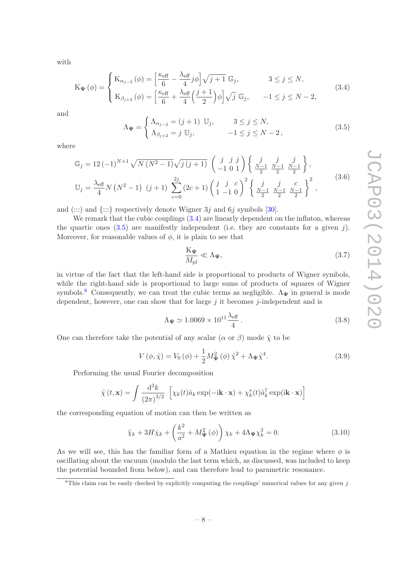with

<span id="page-9-0"></span>
$$
\mathbf{K}_{\Psi}(\phi) = \begin{cases} \mathbf{K}_{\alpha_{j-2}}(\phi) = \left[\frac{\kappa_{\text{eff}}}{6} - \frac{\lambda_{\text{eff}}}{4}j\phi\right]\sqrt{j+1} \mathbb{G}_j, & 3 \le j \le N, \\ \mathbf{K}_{\beta_{j+2}}(\phi) = \left[\frac{\kappa_{\text{eff}}}{6} + \frac{\lambda_{\text{eff}}}{4}\left(\frac{j+1}{2}\right)\phi\right]\sqrt{j} \mathbb{G}_j, & -1 \le j \le N-2, \end{cases}
$$
(3.4)

and

<span id="page-9-1"></span>
$$
\Lambda_{\Psi} = \begin{cases} \Lambda_{\alpha_{j-2}} = (j+1) & \text{U}_j, & 3 \le j \le N, \\ \Lambda_{\beta_{j+2}} = j & \text{U}_j, & -1 \le j \le N-2, \end{cases}
$$
\n(3.5)

where

$$
\mathbb{G}_{j} = 12 \, (-1)^{N+1} \sqrt{N \, (N^{2} - 1)} \sqrt{j \, (j+1)} \begin{pmatrix} j & j & j \\ -1 & 0 & 1 \end{pmatrix} \begin{Bmatrix} j & j & j \\ \frac{N-1}{2} & \frac{N-1}{2} & \frac{N-1}{2} \end{Bmatrix},
$$
\n
$$
\mathbb{U}_{j} = \frac{\lambda_{\text{eff}}}{4} N \, (N^{2} - 1) \, (j+1) \sum_{c=0}^{2j} (2c+1) \left( \frac{j}{1-1} \, 0 \right)^{2} \begin{Bmatrix} j & j & c \\ \frac{N-1}{2} & \frac{N-1}{2} & \frac{N-1}{2} \end{Bmatrix}^{2},
$$
\n
$$
(3.6)
$$

and  $(::):$  and  ${:::}$  respectively denote Wigner 3j and 6j symbols [\[30\]](#page-22-16).

We remark that the cubic couplings  $(3.4)$  are linearly dependent on the inflaton, whereas the quartic ones  $(3.5)$  are manifestly independent (i.e. they are constants for a given j). Moreover, for reasonable values of  $\phi$ , it is plain to see that

$$
\frac{K_{\Psi}}{M_{\rm pl}} \ll \Lambda_{\Psi},\tag{3.7}
$$

in virtue of the fact that the left-hand side is proportional to products of Wigner symbols, while the right-hand side is proportional to large sums of products of squares of Wigner symbols.<sup>[8](#page-9-2)</sup> Consequently, we can treat the cubic terms as negligible.  $\Lambda_{\Psi}$  in general is mode dependent, however, one can show that for large  $j$  it becomes  $j$ -independent and is

$$
\Lambda_{\Psi} \simeq 1.0069 \times 10^{11} \frac{\lambda_{\text{eff}}}{4} \,. \tag{3.8}
$$

One can therefore take the potential of any scalar  $(\alpha \text{ or } \beta)$  mode  $\hat{\chi}$  to be

$$
V(\phi, \hat{\chi}) = V_0(\phi) + \frac{1}{2} M_{\Psi}^2(\phi) \hat{\chi}^2 + \Lambda_{\Psi} \hat{\chi}^4.
$$
 (3.9)

Performing the usual Fourier decomposition

$$
\hat{\chi}(t, \mathbf{x}) = \int \frac{d^3k}{(2\pi)^{3/2}} \left[ \chi_k(t)\hat{a}_k \exp(-i\mathbf{k} \cdot \mathbf{x}) + \chi_k^*(t)\hat{a}_k^\dagger \exp(i\mathbf{k} \cdot \mathbf{x}) \right]
$$

the corresponding equation of motion can then be written as

<span id="page-9-3"></span>
$$
\ddot{\chi}_k + 3H\dot{\chi}_k + \left(\frac{k^2}{a^2} + M^2_{\Psi}(\phi)\right)\chi_k + 4\Lambda_{\Psi}\chi_k^3 = 0.
$$
\n(3.10)

As we will see, this has the familiar form of a Mathieu equation in the regime where  $\phi$  is oscillating about the vacuum (modulo the last term which, as discussed, was included to keep the potential bounded from below), and can therefore lead to parametric resonance.

<span id="page-9-2"></span><sup>&</sup>lt;sup>8</sup>This claim can be easily checked by explicitly computing the couplings' numerical values for any given j.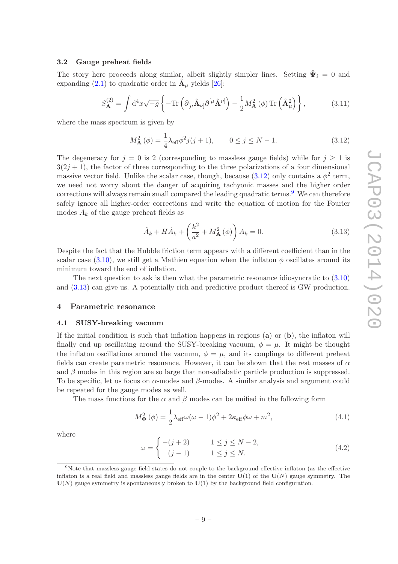### <span id="page-10-0"></span>3.2 Gauge preheat fields

The story here proceeds along similar, albeit slightly simpler lines. Setting  $\hat{\Psi}_i = 0$  and expanding [\(2.1\)](#page-5-2) to quadratic order in  $\hat{A}_{\mu}$  yields [\[26](#page-22-13)]:

$$
S_{\mathbf{A}}^{(2)} = \int d^4x \sqrt{-g} \left\{ -\text{Tr} \left( \partial_{\left[ \mu \hat{\mathbf{A}}_{\nu \right]} \partial^{\left[ \mu \hat{\mathbf{A}}_{\nu \right]} \right)} - \frac{1}{2} M_{\mathbf{A}}^2 \left( \phi \right) \text{Tr} \left( \hat{\mathbf{A}}_{\mu}^2 \right) \right\},\tag{3.11}
$$

where the mass spectrum is given by

<span id="page-10-3"></span>
$$
M_{\mathbf{A}}^{2}(\phi) = \frac{1}{4}\lambda_{\text{eff}}\phi^{2}j(j+1), \qquad 0 \le j \le N-1.
$$
 (3.12)

The degeneracy for  $j = 0$  is 2 (corresponding to massless gauge fields) while for  $j \ge 1$  is  $3(2j + 1)$ , the factor of three corresponding to the three polarizations of a four dimensional massive vector field. Unlike the scalar case, though, because [\(3.12\)](#page-10-3) only contains a  $\phi^2$  term, we need not worry about the danger of acquiring tachyonic masses and the higher order corrections will always remain small compared the leading quadratic terms.<sup>[9](#page-10-4)</sup> We can therefore safely ignore all higher-order corrections and write the equation of motion for the Fourier modes  $A_k$  of the gauge preheat fields as

<span id="page-10-5"></span>
$$
\ddot{A}_k + H\dot{A}_k + \left(\frac{k^2}{a^2} + M_\mathbf{A}^2(\phi)\right) A_k = 0.
$$
\n(3.13)

Despite the fact that the Hubble friction term appears with a different coefficient than in the scalar case [\(3.10\)](#page-9-3), we still get a Mathieu equation when the inflaton  $\phi$  oscillates around its minimum toward the end of inflation.

The next question to ask is then what the parametric resonance idiosyncratic to  $(3.10)$ and [\(3.13\)](#page-10-5) can give us. A potentially rich and predictive product thereof is GW production.

#### <span id="page-10-2"></span><span id="page-10-1"></span>4 Parametric resonance

#### 4.1 SUSY-breaking vacuum

If the initial condition is such that inflation happens in regions  $(a)$  or  $(b)$ , the inflaton will finally end up oscillating around the SUSY-breaking vacuum,  $\phi = \mu$ . It might be thought the inflaton oscillations around the vacuum,  $\phi = \mu$ , and its couplings to different preheat fields can create parametric resonance. However, it can be shown that the rest masses of  $\alpha$ and  $\beta$  modes in this region are so large that non-adiabatic particle production is suppressed. To be specific, let us focus on  $\alpha$ -modes and  $\beta$ -modes. A similar analysis and argument could be repeated for the gauge modes as well.

The mass functions for the  $\alpha$  and  $\beta$  modes can be unified in the following form

$$
M_{\Psi}^2(\phi) = \frac{1}{2}\lambda_{\text{eff}}\omega(\omega - 1)\phi^2 + 2\kappa_{\text{eff}}\phi\omega + m^2,\tag{4.1}
$$

where

$$
\omega = \begin{cases}\n-(j+2) & 1 \le j \le N-2, \\
(j-1) & 1 \le j \le N.\n\end{cases}
$$
\n(4.2)

<span id="page-10-4"></span><sup>9</sup>Note that massless gauge field states do not couple to the background effective inflaton (as the effective inflaton is a real field and massless gauge fields are in the center  $U(1)$  of the  $U(N)$  gauge symmetry. The  $U(N)$  gauge symmetry is spontaneously broken to  $U(1)$  by the background field configuration.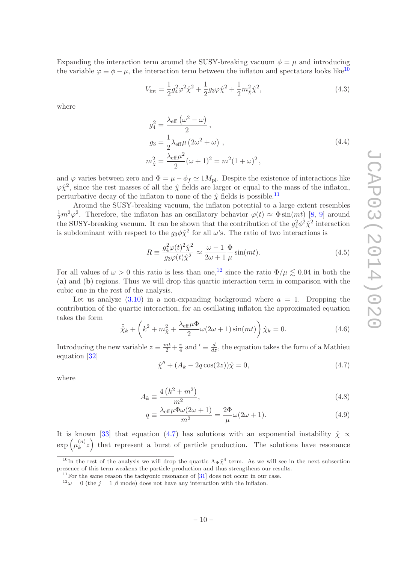Expanding the interaction term around the SUSY-breaking vacuum  $\phi = \mu$  and introducing the variable  $\varphi \equiv \phi - \mu$ , the interaction term between the inflaton and spectators looks like<sup>[10](#page-11-0)</sup>

$$
V_{\text{int}} = \frac{1}{2}g_4^2 \varphi^2 \hat{\chi}^2 + \frac{1}{2}g_3 \varphi \hat{\chi}^2 + \frac{1}{2}m_{\hat{\chi}}^2 \hat{\chi}^2, \tag{4.3}
$$

where

$$
g_4^2 = \frac{\lambda_{\text{eff}} \left(\omega^2 - \omega\right)}{2},
$$
  
\n
$$
g_3 = \frac{1}{2} \lambda_{\text{eff}} \mu \left(2\omega^2 + \omega\right),
$$
  
\n
$$
m_{\tilde{\chi}}^2 = \frac{\lambda_{\text{eff}} \mu^2}{2} (\omega + 1)^2 = m^2 (1 + \omega)^2,
$$
\n(4.4)

and  $\varphi$  varies between zero and  $\Phi = \mu - \phi_f \simeq 1 M_{\rm pl}$ . Despite the existence of interactions like  $\varphi \hat{\chi}^2$ , since the rest masses of all the  $\hat{\chi}$  fields are larger or equal to the mass of the inflaton, perturbative decay of the inflaton to none of the  $\hat{\chi}$  fields is possible.<sup>[11](#page-11-1)</sup>

Around the SUSY-breaking vacuum, the inflaton potential to a large extent resembles  $\frac{1}{2}m^2\varphi^2$ . Therefore, the inflaton has an oscillatory behavior  $\varphi(t) \approx \Phi \sin(mt)$  [\[8,](#page-21-6) [9\]](#page-21-7) around the SUSY-breaking vacuum. It can be shown that the contribution of the  $g_4^2 \phi^2 \hat{\chi}^2$  interaction is subdominant with respect to the  $g_3\phi\hat{\chi}^2$  for all  $\omega$ 's. The ratio of two interactions is

$$
R \equiv \frac{g_4^2 \varphi(t)^2 \hat{\chi}^2}{g_3 \varphi(t) \hat{\chi}^2} \approx \frac{\omega - 1}{2\omega + 1} \frac{\Phi}{\mu} \sin(mt). \tag{4.5}
$$

For all values of  $\omega > 0$  this ratio is less than one,<sup>[12](#page-11-2)</sup> since the ratio  $\Phi/\mu \lesssim 0.04$  in both the (a) and (b) regions. Thus we will drop this quartic interaction term in comparison with the cubic one in the rest of the analysis.

Let us analyze  $(3.10)$  in a non-expanding background where  $a = 1$ . Dropping the contribution of the quartic interaction, for an oscillating inflaton the approximated equation takes the form

$$
\ddot{\hat{\chi}}_k + \left(k^2 + m_{\hat{\chi}}^2 + \frac{\lambda_{\text{eff}}\mu\Phi}{2}\omega(2\omega + 1)\sin(mt)\right)\hat{\chi}_k = 0.
$$
\n(4.6)

Introducing the new variable  $z \equiv \frac{mt}{2} + \frac{\pi}{4}$  $\frac{\pi}{4}$  and  $' \equiv \frac{d}{dz}$ , the equation takes the form of a Mathieu equation [\[32](#page-23-0)]

<span id="page-11-3"></span>
$$
\hat{\chi}'' + (A_k - 2q\cos(2z))\hat{\chi} = 0,
$$
\n(4.7)

where

$$
A_k \equiv \frac{4(k^2 + m^2)}{m^2},\tag{4.8}
$$

$$
q \equiv \frac{\lambda_{\text{eff}}\mu\Phi\omega(2\omega+1)}{m^2} = \frac{2\Phi}{\mu}\omega(2\omega+1). \tag{4.9}
$$

It is known [\[33\]](#page-23-1) that equation [\(4.7\)](#page-11-3) has solutions with an exponential instability  $\hat{\chi} \propto$  $\exp\left(\mu_k^{(n)}\right)$  $\binom{n}{k}$  that represent a burst of particle production. The solutions have resonance

<sup>&</sup>lt;sup>10</sup>In the rest of the analysis we will drop the quartic  $\Lambda_{\Psi} \hat{\chi}^4$  term. As we will see in the next subsection presence of this term weakens the particle production and thus strengthens our results.

<span id="page-11-0"></span> $11$ For the same reason the tachyonic resonance of [\[31\]](#page-22-17) does not occur in our case.

<span id="page-11-2"></span><span id="page-11-1"></span> $12\omega = 0$  (the  $j = 1 \beta$  mode) does not have any interaction with the inflaton.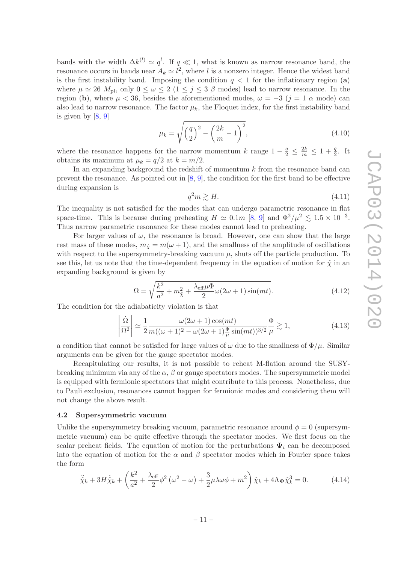bands with the width  $\Delta k^{(l)} \simeq q^l$ . If  $q \ll 1$ , what is known as narrow resonance band, the resonance occurs in bands near  $A_k \simeq l^2$ , where l is a nonzero integer. Hence the widest band is the first instability band. Imposing the condition  $q < 1$  for the inflationary region (a) where  $\mu \simeq 26$   $M_{\text{pl}}$ , only  $0 \leq \omega \leq 2$   $(1 \leq j \leq 3 \beta \text{ modes})$  lead to narrow resonance. In the region (b), where  $\mu < 36$ , besides the aforementioned modes,  $\omega = -3$  ( $j = 1$   $\alpha$  mode) can also lead to narrow resonance. The factor  $\mu_k$ , the Floquet index, for the first instability band is given by [\[8](#page-21-6), [9](#page-21-7)]

$$
\mu_k = \sqrt{\left(\frac{q}{2}\right)^2 - \left(\frac{2k}{m} - 1\right)^2},\tag{4.10}
$$

where the resonance happens for the narrow momentum k range  $1 - \frac{q}{2} \leq \frac{2k}{m} \leq 1 + \frac{q}{2}$ . It obtains its maximum at  $\mu_k = q/2$  at  $k = m/2$ .

In an expanding background the redshift of momentum  $k$  from the resonance band can prevent the resonance. As pointed out in  $[8, 9]$  $[8, 9]$ , the condition for the first band to be effective during expansion is

$$
q^2 m \gtrsim H. \tag{4.11}
$$

The inequality is not satisfied for the modes that can undergo parametric resonance in flat space-time. This is because during preheating  $H \simeq 0.1m$  [\[8,](#page-21-6) [9\]](#page-21-7) and  $\Phi^2/\mu^2 \lesssim 1.5 \times 10^{-3}$ . Thus narrow parametric resonance for these modes cannot lead to preheating.

For larger values of  $\omega$ , the resonance is broad. However, one can show that the large rest mass of these modes,  $m_{\hat{Y}} = m(\omega + 1)$ , and the smallness of the amplitude of oscillations with respect to the supersymmetry-breaking vacuum  $\mu$ , shuts off the particle production. To see this, let us note that the time-dependent frequency in the equation of motion for  $\hat{\chi}$  in an expanding background is given by

$$
\Omega = \sqrt{\frac{k^2}{a^2} + m_{\hat{\chi}}^2 + \frac{\lambda_{\text{eff}}\mu\Phi}{2}\omega(2\omega + 1)\sin(mt)}.
$$
\n(4.12)

The condition for the adiabaticity violation is that

$$
\left|\frac{\dot{\Omega}}{\Omega^2}\right| \simeq \frac{1}{2} \frac{\omega(2\omega+1)\cos(mt)}{m((\omega+1)^2 - \omega(2\omega+1)\frac{\Phi}{\mu}\sin(mt))^{3/2}} \frac{\Phi}{\mu} \gtrsim 1,
$$
\n(4.13)

a condition that cannot be satisfied for large values of  $\omega$  due to the smallness of  $\Phi/\mu$ . Similar arguments can be given for the gauge spectator modes.

Recapitulating our results, it is not possible to reheat M-flation around the SUSYbreaking minimum via any of the  $\alpha$ ,  $\beta$  or gauge spectators modes. The supersymmetric model is equipped with fermionic spectators that might contribute to this process. Nonetheless, due to Pauli exclusion, resonances cannot happen for fermionic modes and considering them will not change the above result.

#### <span id="page-12-0"></span>4.2 Supersymmetric vacuum

Unlike the supersymmetry breaking vacuum, parametric resonance around  $\phi = 0$  (supersymmetric vacuum) can be quite effective through the spectator modes. We first focus on the scalar preheat fields. The equation of motion for the perturbations  $\Psi_i$  can be decomposed into the equation of motion for the  $\alpha$  and  $\beta$  spectator modes which in Fourier space takes the form

$$
\ddot{\hat{\chi}}_k + 3H\dot{\hat{\chi}}_k + \left(\frac{k^2}{a^2} + \frac{\lambda_{\text{eff}}}{2}\phi^2\left(\omega^2 - \omega\right) + \frac{3}{2}\mu\lambda\omega\phi + m^2\right)\hat{\chi}_k + 4\Lambda_{\Psi}\hat{\chi}_k^3 = 0.
$$
 (4.14)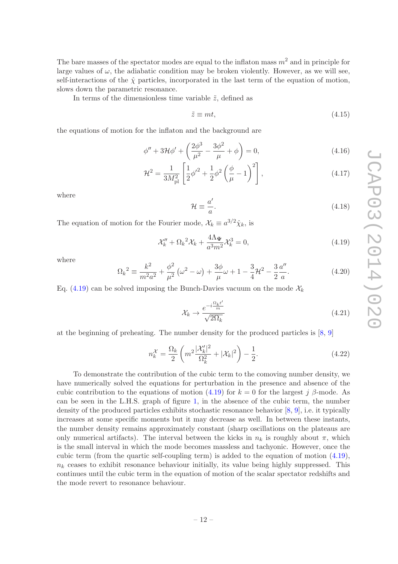The bare masses of the spectator modes are equal to the inflaton mass  $m^2$  and in principle for large values of  $\omega$ , the adiabatic condition may be broken violently. However, as we will see, self-interactions of the  $\hat{\chi}$  particles, incorporated in the last term of the equation of motion, slows down the parametric resonance.

In terms of the dimensionless time variable  $\tilde{z}$ , defined as

$$
\tilde{z} \equiv mt,\tag{4.15}
$$

the equations of motion for the inflaton and the background are

$$
\phi'' + 3\mathcal{H}\phi' + \left(\frac{2\phi^3}{\mu^2} - \frac{3\phi^2}{\mu} + \phi\right) = 0,
$$
\n(4.16)

$$
\mathcal{H}^2 = \frac{1}{3M_{\rm pl}^2} \left[ \frac{1}{2} \phi'^2 + \frac{1}{2} \phi^2 \left( \frac{\phi}{\mu} - 1 \right)^2 \right],\tag{4.17}
$$

where

$$
\mathcal{H} \equiv \frac{a'}{a}.\tag{4.18}
$$

The equation of motion for the Fourier mode,  $\mathcal{X}_k \equiv a^{3/2} \hat{\chi}_k$ , is

<span id="page-13-0"></span>
$$
\mathcal{X}_k'' + \Omega_k^2 \mathcal{X}_k + \frac{4\Lambda_{\Psi}}{a^3 m^2} \mathcal{X}_k^3 = 0, \tag{4.19}
$$

where

<span id="page-13-1"></span>
$$
\Omega_k^2 \equiv \frac{k^2}{m^2 a^2} + \frac{\phi^2}{\mu^2} \left(\omega^2 - \omega\right) + \frac{3\phi}{\mu} \omega + 1 - \frac{3}{4} \mathcal{H}^2 - \frac{3}{2} \frac{a''}{a}.
$$
 (4.20)

Eq. [\(4.19\)](#page-13-0) can be solved imposing the Bunch-Davies vacuum on the mode  $\mathcal{X}_k$ 

$$
\mathcal{X}_k \to \frac{e^{-i\frac{\Omega_k t'}{m}}}{\sqrt{2\Omega_k}}\tag{4.21}
$$

at the beginning of preheating. The number density for the produced particles is [\[8,](#page-21-6) [9\]](#page-21-7)

$$
n_k^{\mathcal{X}} = \frac{\Omega_k}{2} \left( m^2 \frac{|\mathcal{X}_k'|^2}{\Omega_k^2} + |\mathcal{X}_k|^2 \right) - \frac{1}{2}.
$$
 (4.22)

To demonstrate the contribution of the cubic term to the comoving number density, we have numerically solved the equations for perturbation in the presence and absence of the cubic contribution to the equations of motion [\(4.19\)](#page-13-0) for  $k = 0$  for the largest j β-mode. As can be seen in the L.H.S. graph of figure [1,](#page-14-1) in the absence of the cubic term, the number density of the produced particles exhibits stochastic resonance behavior [\[8](#page-21-6), [9\]](#page-21-7), i.e. it typically increases at some specific moments but it may decrease as well. In between these instants, the number density remains approximately constant (sharp oscillations on the plateaus are only numerical artifacts). The interval between the kicks in  $n_k$  is roughly about  $\pi$ , which is the small interval in which the mode becomes massless and tachyonic. However, once the cubic term (from the quartic self-coupling term) is added to the equation of motion [\(4.19\)](#page-13-0),  $n_k$  ceases to exhibit resonance behaviour initially, its value being highly suppressed. This continues until the cubic term in the equation of motion of the scalar spectator redshifts and the mode revert to resonance behaviour.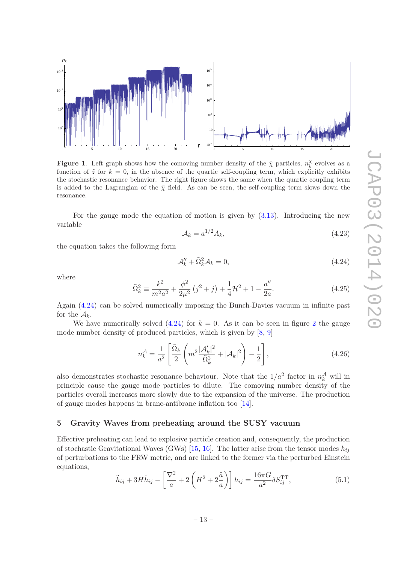

<span id="page-14-1"></span>**Figure 1.** Left graph shows how the comoving number density of the  $\hat{\chi}$  particles,  $n_k^{\chi}$  evolves as a function of  $\tilde{z}$  for  $k = 0$ , in the absence of the quartic self-coupling term, which explicitly exhibits the stochastic resonance behavior. The right figure shows the same when the quartic coupling term is added to the Lagrangian of the  $\hat{\gamma}$  field. As can be seen, the self-coupling term slows down the resonance.

For the gauge mode the equation of motion is given by [\(3.13\)](#page-10-5). Introducing the new variable

$$
\mathcal{A}_k = a^{1/2} A_k,\tag{4.23}
$$

the equation takes the following form

<span id="page-14-2"></span>
$$
\mathcal{A}_k'' + \tilde{\Omega}_k^2 \mathcal{A}_k = 0,\tag{4.24}
$$

where

<span id="page-14-4"></span>
$$
\tilde{\Omega}_k^2 \equiv \frac{k^2}{m^2 a^2} + \frac{\phi^2}{2\mu^2} \left(j^2 + j\right) + \frac{1}{4} \mathcal{H}^2 + 1 - \frac{a''}{2a}.\tag{4.25}
$$

Again [\(4.24\)](#page-14-2) can be solved numerically imposing the Bunch-Davies vacuum in infinite past for the  $A_k$ .

We have numerically solved  $(4.24)$  $(4.24)$  $(4.24)$  for  $k = 0$ . As it can be seen in figure 2 the gauge mode number density of produced particles, which is given by [\[8,](#page-21-6) [9\]](#page-21-7)

$$
n_k^{\mathcal{A}} = \frac{1}{a^2} \left[ \frac{\tilde{\Omega}_k}{2} \left( m^2 \frac{|\mathcal{A}_k'|^2}{\tilde{\Omega}_k^2} + |\mathcal{A}_k|^2 \right) - \frac{1}{2} \right],\tag{4.26}
$$

also demonstrates stochastic resonance behaviour. Note that the  $1/a^2$  factor in  $n_k^{\mathcal{A}}$  will in principle cause the gauge mode particles to dilute. The comoving number density of the particles overall increases more slowly due to the expansion of the universe. The production of gauge modes happens in brane-antibrane inflation too [\[14\]](#page-22-18).

#### <span id="page-14-0"></span>5 Gravity Waves from preheating around the SUSY vacuum

Effective preheating can lead to explosive particle creation and, consequently, the production of stochastic Gravitational Waves (GWs) [\[15,](#page-22-1) [16\]](#page-22-2). The latter arise from the tensor modes  $h_{ij}$ of perturbations to the FRW metric, and are linked to the former via the perturbed Einstein equations,

<span id="page-14-3"></span>
$$
\ddot{h}_{ij} + 3H\dot{h}_{ij} - \left[\frac{\nabla^2}{a} + 2\left(H^2 + 2\frac{\ddot{a}}{a}\right)\right]h_{ij} = \frac{16\pi G}{a^2} \delta S_{ij}^{\text{TT}},\tag{5.1}
$$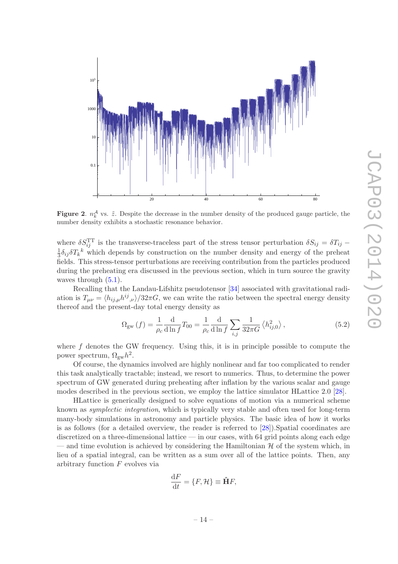

<span id="page-15-0"></span>**Figure 2.**  $n_k^{\mathcal{A}}$  vs.  $\tilde{z}$ . Despite the decrease in the number density of the produced gauge particle, the number density exhibits a stochastic resonance behavior.

where  $\delta S_{ij}^{\text{TT}}$  is the transverse-traceless part of the stress tensor perturbation  $\delta S_{ij} = \delta T_{ij} - \frac{1}{2} \delta_{ij} \delta T_{ik}$  which depends by construction on the number density and energy of the preheat  $\frac{1}{3}\delta_{ij}\delta T_{k}^{k}$  which depends by construction on the number density and energy of the preheat fields. This stress-tensor perturbations are receiving contribution from the particles produced during the preheating era discussed in the previous section, which in turn source the gravity waves through  $(5.1)$ .

Recalling that the Landau-Lifshitz pseudotensor [\[34](#page-23-2)] associated with gravitational radiation is  $T_{\mu\nu} = \langle h_{ij,\mu} h^{ij}{}_{,\nu} \rangle / 32\pi G$ , we can write the ratio between the spectral energy density thereof and the present-day total energy density as

<span id="page-15-1"></span>
$$
\Omega_{\rm gw}\left(f\right) = \frac{1}{\rho_c} \frac{d}{d \ln f} T_{00} = \frac{1}{\rho_c} \frac{d}{d \ln f} \sum_{i,j} \frac{1}{32\pi G} \left\langle h_{ij,0}^2 \right\rangle,\tag{5.2}
$$

where  $f$  denotes the GW frequency. Using this, it is in principle possible to compute the power spectrum,  $\Omega_{\rm gw}h^2$ .

Of course, the dynamics involved are highly nonlinear and far too complicated to render this task analytically tractable; instead, we resort to numerics. Thus, to determine the power spectrum of GW generated during preheating after inflation by the various scalar and gauge modes described in the previous section, we employ the lattice simulator HLattice 2.0 [\[28](#page-22-15)].

HLattice is generically designed to solve equations of motion via a numerical scheme known as symplectic integration, which is typically very stable and often used for long-term many-body simulations in astronomy and particle physics. The basic idea of how it works is as follows (for a detailed overview, the reader is referred to [\[28](#page-22-15)]).Spatial coordinates are discretized on a three-dimensional lattice — in our cases, with 64 grid points along each edge — and time evolution is achieved by considering the Hamiltonian  $\mathcal H$  of the system which, in lieu of a spatial integral, can be written as a sum over all of the lattice points. Then, any arbitrary function  $F$  evolves via

$$
\frac{\mathrm{d}F}{\mathrm{d}t} = \{F, \mathcal{H}\} \equiv \hat{\mathbf{H}}F,
$$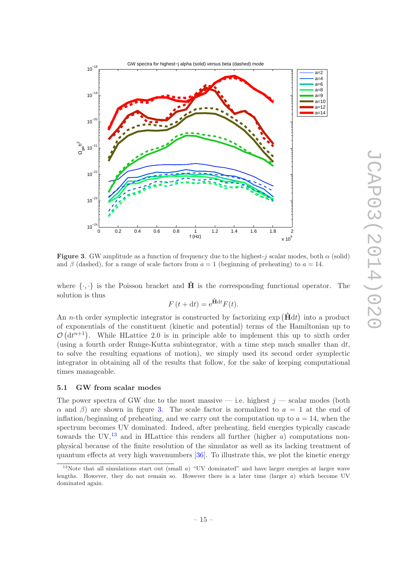

<span id="page-16-1"></span>Figure 3. GW amplitude as a function of frequency due to the highest-j scalar modes, both  $\alpha$  (solid) and  $\beta$  (dashed), for a range of scale factors from  $a = 1$  (beginning of preheating) to  $a = 14$ .

where  $\{\cdot,\cdot\}$  is the Poisson bracket and  $\hat{H}$  is the corresponding functional operator. The solution is thus

$$
F(t + dt) = e^{\hat{\mathbf{H}}dt}F(t).
$$

An *n*-th order symplectic integrator is constructed by factorizing  $\exp(\hat{H}dt)$  into a product of exponentials of the constituent (kinetic and potential) terms of the Hamiltonian up to  $\mathcal{O}(dt^{n+1})$ . While HLattice 2.0 is in principle able to implement this up to sixth order (using a fourth order Runge-Kutta subintegrator, with a time step much smaller than  $dt$ , to solve the resulting equations of motion), we simply used its second order symplectic integrator in obtaining all of the results that follow, for the sake of keeping computational times manageable.

## <span id="page-16-0"></span>5.1 GW from scalar modes

The power spectra of GW due to the most massive — i.e. highest  $j$  — scalar modes (both α and β) are shown in figure [3.](#page-16-1) The scale factor is normalized to  $a = 1$  at the end of inflation/beginning of preheating, and we carry out the computation up to  $a = 14$ , when the spectrum becomes UV dominated. Indeed, after preheating, field energies typically cascade towards the UV,<sup>[13](#page-16-2)</sup> and in HLattice this renders all further (higher a) computations nonphysical because of the finite resolution of the simulator as well as its lacking treatment of quantum effects at very high wavenumbers [\[36](#page-23-3)]. To illustrate this, we plot the kinetic energy

<span id="page-16-2"></span><sup>&</sup>lt;sup>13</sup>Note that all simulations start out (small  $a$ ) "UV dominated" and have larger energies at larger wave lengths. However, they do not remain so. However there is a later time (larger  $a$ ) which become UV dominated again.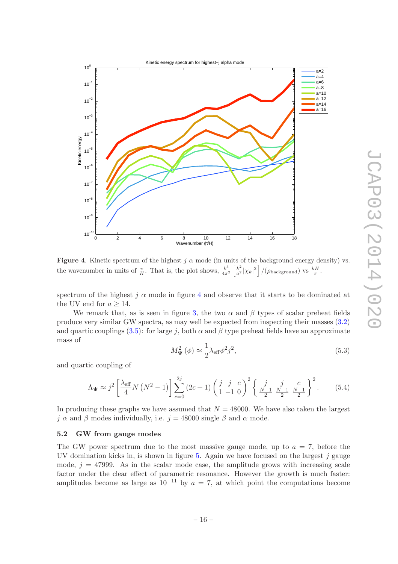

<span id="page-17-1"></span>**Figure 4.** Kinetic spectrum of the highest  $j \alpha$  mode (in units of the background energy density) vs. the wavenumber in units of  $\frac{\pi}{H}$ . That is, the plot shows,  $\frac{k^3}{4\pi^3}$  $\frac{k^3}{4\pi^2} \left[\frac{k^2}{a^2}|\chi_k|^2\right] / (\rho_{\text{background}}) \text{ vs } \frac{kH}{\pi}.$ 

spectrum of the highest j  $\alpha$  mode in figure [4](#page-17-1) and observe that it starts to be dominated at the UV end for  $a \geq 14$ .

We remark that, as is seen in figure [3,](#page-16-1) the two  $\alpha$  and  $\beta$  types of scalar preheat fields produce very similar GW spectra, as may well be expected from inspecting their masses [\(3.2\)](#page-8-3) and quartic couplings [\(3.5\)](#page-9-1): for large j, both  $\alpha$  and  $\beta$  type preheat fields have an approximate mass of

$$
M_{\Psi}^2(\phi) \approx \frac{1}{2} \lambda_{\text{eff}} \phi^2 j^2,\tag{5.3}
$$

and quartic coupling of

$$
\Lambda_{\Psi} \approx j^2 \left[ \frac{\lambda_{\text{eff}}}{4} N \left( N^2 - 1 \right) \right] \sum_{c=0}^{2j} \left( 2c + 1 \right) \left( \begin{array}{ccc} j & j & c \\ 1 & -1 & 0 \end{array} \right)^2 \left\{ \begin{array}{ccc} j & j & c \\ \frac{N-1}{2} & \frac{N-1}{2} & \frac{N-1}{2} \end{array} \right\}^2. \tag{5.4}
$$

In producing these graphs we have assumed that  $N = 48000$ . We have also taken the largest j  $\alpha$  and  $\beta$  modes individually, i.e. j = 48000 single  $\beta$  and  $\alpha$  mode.

#### <span id="page-17-0"></span>5.2 GW from gauge modes

The GW power spectrum due to the most massive gauge mode, up to  $a = 7$ , before the UV domination kicks in, is shown in figure [5.](#page-18-1) Again we have focused on the largest  $j$  gauge mode,  $j = 47999$ . As in the scalar mode case, the amplitude grows with increasing scale factor under the clear effect of parametric resonance. However the growth is much faster: amplitudes become as large as  $10^{-11}$  by  $a = 7$ , at which point the computations become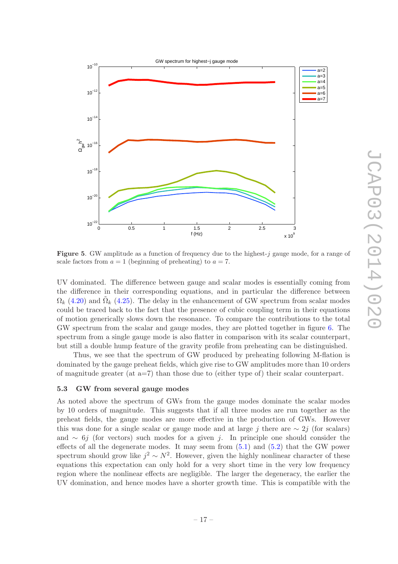

<span id="page-18-1"></span>**Figure 5.** GW amplitude as a function of frequency due to the highest-j gauge mode, for a range of scale factors from  $a = 1$  (beginning of preheating) to  $a = 7$ .

UV dominated. The difference between gauge and scalar modes is essentially coming from the difference in their corresponding equations, and in particular the difference between  $\Omega_k$  [\(4.20\)](#page-13-1) and  $\tilde{\Omega}_k$  [\(4.25\)](#page-14-4). The delay in the enhancement of GW spectrum from scalar modes could be traced back to the fact that the presence of cubic coupling term in their equations of motion generically slows down the resonance. To compare the contributions to the total GW spectrum from the scalar and gauge modes, they are plotted together in figure [6.](#page-19-0) The spectrum from a single gauge mode is also flatter in comparison with its scalar counterpart, but still a double hump feature of the gravity profile from preheating can be distinguished.

Thus, we see that the spectrum of GW produced by preheating following M-flation is dominated by the gauge preheat fields, which give rise to GW amplitudes more than 10 orders of magnitude greater (at a=7) than those due to (either type of) their scalar counterpart.

#### <span id="page-18-0"></span>5.3 GW from several gauge modes

As noted above the spectrum of GWs from the gauge modes dominate the scalar modes by 10 orders of magnitude. This suggests that if all three modes are run together as the preheat fields, the gauge modes are more effective in the production of GWs. However this was done for a single scalar or gauge mode and at large j there are  $\sim 2j$  (for scalars) and  $\sim 6j$  (for vectors) such modes for a given j. In principle one should consider the effects of all the degenerate modes. It may seem from  $(5.1)$  and  $(5.2)$  that the GW power spectrum should grow like  $j^2 \sim N^2$ . However, given the highly nonlinear character of these equations this expectation can only hold for a very short time in the very low frequency region where the nonlinear effects are negligible. The larger the degeneracy, the earlier the UV domination, and hence modes have a shorter growth time. This is compatible with the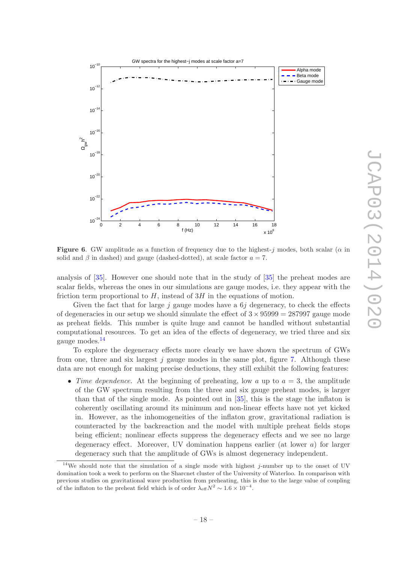

<span id="page-19-0"></span>**Figure 6.** GW amplitude as a function of frequency due to the highest-j modes, both scalar ( $\alpha$  in solid and  $\beta$  in dashed) and gauge (dashed-dotted), at scale factor  $a = 7$ .

analysis of [\[35\]](#page-23-4). However one should note that in the study of [\[35](#page-23-4)] the preheat modes are scalar fields, whereas the ones in our simulations are gauge modes, i.e. they appear with the friction term proportional to  $H$ , instead of  $3H$  in the equations of motion.

Given the fact that for large j gauge modes have a  $6j$  degeneracy, to check the effects of degeneracies in our setup we should simulate the effect of  $3 \times 95999 = 287997$  gauge mode as preheat fields. This number is quite huge and cannot be handled without substantial computational resources. To get an idea of the effects of degeneracy, we tried three and six gauge modes.[14](#page-19-1)

To explore the degeneracy effects more clearly we have shown the spectrum of GWs from one, three and six largest j gauge modes in the same plot, figure [7.](#page-20-1) Although these data are not enough for making precise deductions, they still exhibit the following features:

• Time dependence. At the beginning of preheating, low a up to  $a = 3$ , the amplitude of the GW spectrum resulting from the three and six gauge preheat modes, is larger than that of the single mode. As pointed out in [\[35\]](#page-23-4), this is the stage the inflaton is coherently oscillating around its minimum and non-linear effects have not yet kicked in. However, as the inhomogeneities of the inflaton grow, gravitational radiation is counteracted by the backreaction and the model with multiple preheat fields stops being efficient; nonlinear effects suppress the degeneracy effects and we see no large degeneracy effect. Moreover, UV domination happens earlier (at lower a) for larger degeneracy such that the amplitude of GWs is almost degeneracy independent.

<span id="page-19-1"></span> $14$ We should note that the simulation of a single mode with highest j-number up to the onset of UV domination took a week to perform on the Sharcnet cluster of the University of Waterloo. In comparison with previous studies on gravitational wave production from preheating, this is due to the large value of coupling of the inflaton to the preheat field which is of order  $\lambda_{\text{eff}} N^2 \sim 1.6 \times 10^{-4}$ .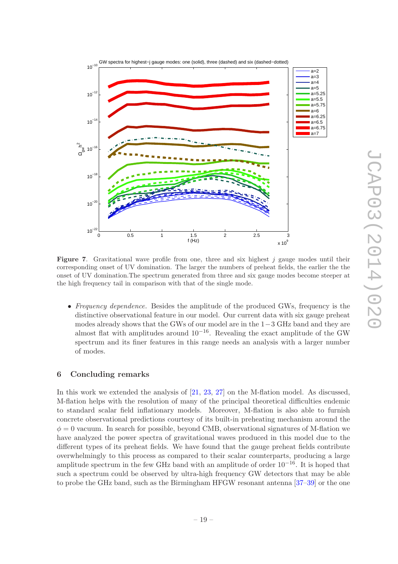

<span id="page-20-1"></span>**Figure 7.** Gravitational wave profile from one, three and six highest j gauge modes until their corresponding onset of UV domination. The larger the numbers of preheat fields, the earlier the the onset of UV domination.The spectrum generated from three and six gauge modes become steeper at the high frequency tail in comparison with that of the single mode.

• Frequency dependence. Besides the amplitude of the produced GWs, frequency is the distinctive observational feature in our model. Our current data with six gauge preheat modes already shows that the GWs of our model are in the 1−3 GHz band and they are almost flat with amplitudes around  $10^{-16}$ . Revealing the exact amplitude of the GW spectrum and its finer features in this range needs an analysis with a larger number of modes.

# <span id="page-20-0"></span>6 Concluding remarks

In this work we extended the analysis of [\[21](#page-22-5), [23](#page-22-7), [27](#page-22-14)] on the M-flation model. As discussed, M-flation helps with the resolution of many of the principal theoretical difficulties endemic to standard scalar field inflationary models. Moreover, M-flation is also able to furnish concrete observational predictions courtesy of its built-in preheating mechanism around the  $\phi = 0$  vacuum. In search for possible, beyond CMB, observational signatures of M-flation we have analyzed the power spectra of gravitational waves produced in this model due to the different types of its preheat fields. We have found that the gauge preheat fields contribute overwhelmingly to this process as compared to their scalar counterparts, producing a large amplitude spectrum in the few GHz band with an amplitude of order  $10^{-16}$ . It is hoped that such a spectrum could be observed by ultra-high frequency GW detectors that may be able to probe the GHz band, such as the Birmingham HFGW resonant antenna [\[37](#page-23-5)[–39\]](#page-23-6) or the one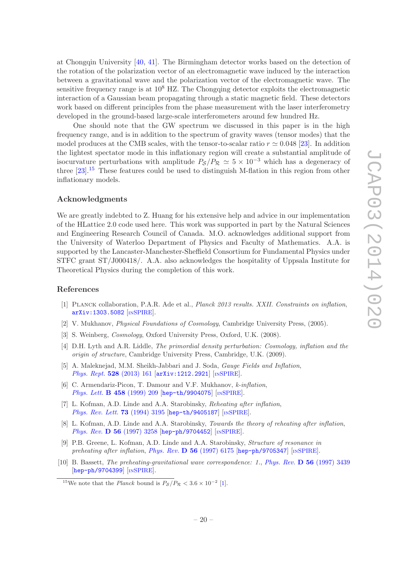at Chongqin University [\[40](#page-23-7), [41](#page-23-8)]. The Birmingham detector works based on the detection of the rotation of the polarization vector of an electromagnetic wave induced by the interaction between a gravitational wave and the polarization vector of the electromagnetic wave. The sensitive frequency range is at  $10^8$  HZ. The Chongqing detector exploits the electromagnetic interaction of a Gaussian beam propagating through a static magnetic field. These detectors work based on different principles from the phase measurement with the laser interferometry developed in the ground-based large-scale interferometers around few hundred Hz.

One should note that the GW spectrum we discussed in this paper is in the high frequency range, and is in addition to the spectrum of gravity waves (tensor modes) that the model produces at the CMB scales, with the tensor-to-scalar ratio  $r \simeq 0.048$  [\[23](#page-22-7)]. In addition the lightest spectator mode in this inflationary region will create a substantial amplitude of isocurvature perturbations with amplitude  $P_{\rm S}/P_{\rm R} \simeq 5 \times 10^{-3}$  which has a degeneracy of three  $[23]$ .<sup>[15](#page-21-9)</sup> These features could be used to distinguish M-flation in this region from other inflationary models.

# Acknowledgments

We are greatly indebted to Z. Huang for his extensive help and advice in our implementation of the HLattice 2.0 code used here. This work was supported in part by the Natural Sciences and Engineering Research Council of Canada. M.O. acknowledges additional support from the University of Waterloo Department of Physics and Faculty of Mathematics. A.A. is supported by the Lancaster-Manchester-Sheffield Consortium for Fundamental Physics under STFC grant ST/J000418/. A.A. also acknowledges the hospitality of Uppsala Institute for Theoretical Physics during the completion of this work.

#### References

- <span id="page-21-0"></span>[1] PLANCK collaboration, P.A.R. Ade et al., *Planck 2013 results. XXII. Constraints on inflation*, [arXiv:1303.5082](http://arxiv.org/abs/1303.5082) [IN[SPIRE](http://inspirehep.net/search?p=find+EPRINT+arXiv:1303.5082)].
- <span id="page-21-1"></span>[2] V. Mukhanov, Physical Foundations of Cosmology, Cambridge University Press, (2005).
- [3] S. Weinberg, Cosmology, Oxford University Press, Oxford, U.K. (2008).
- <span id="page-21-2"></span>[4] D.H. Lyth and A.R. Liddle, The primordial density perturbation: Cosmology, inflation and the origin of structure, Cambridge University Press, Cambridge, U.K. (2009).
- <span id="page-21-3"></span>[5] A. Maleknejad, M.M. Sheikh-Jabbari and J. Soda, Gauge Fields and Inflation, *[Phys. Rept.](http://dx.doi.org/10.1016/j.physrep.2013.03.003)*  $528$  (2013) 161  $\text{arXiv:1212.2921}$  $\text{arXiv:1212.2921}$  $\text{arXiv:1212.2921}$   $\text{[msPIRE]}$ .
- <span id="page-21-4"></span>[6] C. Armendariz-Picon, T. Damour and V.F. Mukhanov, k-inflation, [Phys. Lett.](http://dx.doi.org/10.1016/S0370-2693(99)00603-6) **B 458** (1999) 209 [[hep-th/9904075](http://arxiv.org/abs/hep-th/9904075)] [IN[SPIRE](http://inspirehep.net/search?p=find+EPRINT+hep-th/9904075)].
- <span id="page-21-5"></span>[7] L. Kofman, A.D. Linde and A.A. Starobinsky, Reheating after inflation, [Phys. Rev. Lett.](http://dx.doi.org/10.1103/PhysRevLett.73.3195) **73** (1994) 3195 [[hep-th/9405187](http://arxiv.org/abs/hep-th/9405187)] [IN[SPIRE](http://inspirehep.net/search?p=find+EPRINT+hep-th/9405187)].
- <span id="page-21-6"></span>[8] L. Kofman, A.D. Linde and A.A. Starobinsky, Towards the theory of reheating after inflation, *Phys. Rev.* **D** 56 [\(1997\) 3258](http://dx.doi.org/10.1103/PhysRevD.56.3258) [[hep-ph/9704452](http://arxiv.org/abs/hep-ph/9704452)] [IN[SPIRE](http://inspirehep.net/search?p=find+EPRINT+hep-ph/9704452)].
- <span id="page-21-7"></span>[9] P.B. Greene, L. Kofman, A.D. Linde and A.A. Starobinsky, Structure of resonance in preheating after inflation, Phys. Rev.  $D$  56 [\(1997\) 6175](http://dx.doi.org/10.1103/PhysRevD.56.6175) [[hep-ph/9705347](http://arxiv.org/abs/hep-ph/9705347)] [IN[SPIRE](http://inspirehep.net/search?p=find+EPRINT+hep-ph/9705347)].
- <span id="page-21-8"></span>[10] B. Bassett, The preheating-gravitational wave correspondence: 1., Phys. Rev. **D 56** [\(1997\) 3439](http://dx.doi.org/10.1103/PhysRevD.56.3439) [[hep-ph/9704399](http://arxiv.org/abs/hep-ph/9704399)] [IN[SPIRE](http://inspirehep.net/search?p=find+EPRINT+hep-ph/9704399)].

<span id="page-21-9"></span><sup>&</sup>lt;sup>15</sup>We note that the *Planck* bound is  $P_S/P_R < 3.6 \times 10^{-2}$  [\[1\]](#page-21-0).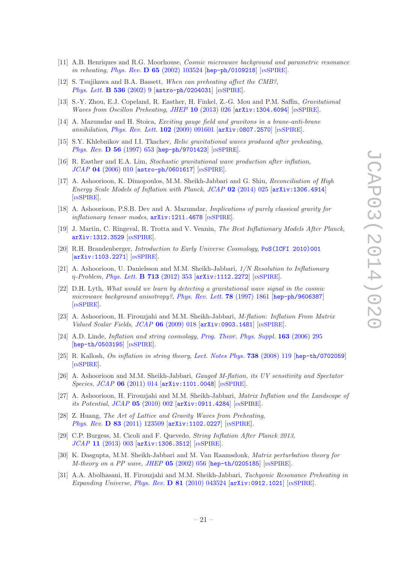- [11] A.B. Henriques and R.G. Moorhouse, *Cosmic microwave background and parametric resonance* in reheating, Phys. Rev. **D 65** [\(2002\) 103524](http://dx.doi.org/10.1103/PhysRevD.65.103524) [[hep-ph/0109218](http://arxiv.org/abs/hep-ph/0109218)] [IN[SPIRE](http://inspirehep.net/search?p=find+EPRINT+hep-ph/0109218)].
- <span id="page-22-0"></span>[12] S. Tsujikawa and B.A. Bassett, When can preheating affect the CMB?, *[Phys. Lett.](http://dx.doi.org/10.1016/S0370-2693(02)01813-0)* **B** 536 (2002) 9  $\alpha$  [astro-ph/0204031](http://arxiv.org/abs/astro-ph/0204031)  $\alpha$  [IN[SPIRE](http://inspirehep.net/search?p=find+EPRINT+astro-ph/0204031)].
- <span id="page-22-8"></span>[13] S.-Y. Zhou, E.J. Copeland, R. Easther, H. Finkel, Z.-G. Mou and P.M. Saffin, Gravitational Waves from Oscillon Preheating, JHEP 10 [\(2013\) 026](http://dx.doi.org/10.1007/JHEP10(2013)026)  $\left[$ [arXiv:1304.6094](http://arxiv.org/abs/1304.6094) $\right]$   $\left[$ In[SPIRE](http://inspirehep.net/search?p=find+EPRINT+arXiv:1304.6094) $\right]$ .
- <span id="page-22-18"></span>[14] A. Mazumdar and H. Stoica, Exciting gauge field and gravitons in a brane-anti-brane annihilation, *[Phys. Rev. Lett.](http://dx.doi.org/10.1103/PhysRevLett.102.091601)* **102** (2009) 091601 [[arXiv:0807.2570](http://arxiv.org/abs/0807.2570)] [IN[SPIRE](http://inspirehep.net/search?p=find+EPRINT+arXiv:0807.2570)].
- <span id="page-22-1"></span>[15] S.Y. Khlebnikov and I.I. Tkachev, Relic gravitational waves produced after preheating, [Phys. Rev.](http://dx.doi.org/10.1103/PhysRevD.56.653) D 56 (1997) 653 [[hep-ph/9701423](http://arxiv.org/abs/hep-ph/9701423)] [IN[SPIRE](http://inspirehep.net/search?p=find+EPRINT+hep-ph/9701423)].
- <span id="page-22-2"></span>[16] R. Easther and E.A. Lim, Stochastic gravitational wave production after inflation,  $JCAP$  04 [\(2006\) 010](http://dx.doi.org/10.1088/1475-7516/2006/04/010) [[astro-ph/0601617](http://arxiv.org/abs/astro-ph/0601617)] [IN[SPIRE](http://inspirehep.net/search?p=find+EPRINT+astro-ph/0601617)].
- <span id="page-22-9"></span>[17] A. Ashoorioon, K. Dimopoulos, M.M. Sheikh-Jabbari and G. Shiu, Reconciliation of High Energy Scale Models of Inflation with Planck, JCAP  $\overline{02}$  [\(2014\) 025](http://dx.doi.org/10.1088/1475-7516/2014/02/025)  $\overline{arXiv:1306.4914}$  $\overline{arXiv:1306.4914}$  $\overline{arXiv:1306.4914}$ [IN[SPIRE](http://inspirehep.net/search?p=find+EPRINT+arXiv:1306.4914)].
- <span id="page-22-10"></span>[18] A. Ashoorioon, P.S.B. Dev and A. Mazumdar, Implications of purely classical gravity for inflationary tensor modes,  $arXiv:1211.4678$  [IN[SPIRE](http://inspirehep.net/search?p=find+EPRINT+arXiv:1211.4678)].
- <span id="page-22-3"></span>[19] J. Martin, C. Ringeval, R. Trotta and V. Vennin, The Best Inflationary Models After Planck, [arXiv:1312.3529](http://arxiv.org/abs/1312.3529) [IN[SPIRE](http://inspirehep.net/search?p=find+EPRINT+arXiv:1312.3529)].
- <span id="page-22-4"></span>[20] R.H. Brandenberger, Introduction to Early Universe Cosmology, [PoS\(ICFI 2010\)001](http://pos.sissa.it/cgi-bin/reader/contribution.cgi?id=PoS(ICFI 2010)001)  $\left[\text{arXiv}:1103.2271\right]$   $\left[\text{nSPIRE}\right]$  $\left[\text{nSPIRE}\right]$  $\left[\text{nSPIRE}\right]$ .
- <span id="page-22-5"></span>[21] A. Ashoorioon, U. Danielsson and M.M. Sheikh-Jabbari, 1/N Resolution to Inflationary η-Problem, [Phys. Lett.](http://dx.doi.org/10.1016/j.physletb.2012.06.034) B 713 (2012) 353 [[arXiv:1112.2272](http://arxiv.org/abs/1112.2272)] [IN[SPIRE](http://inspirehep.net/search?p=find+EPRINT+arXiv:1112.2272)].
- <span id="page-22-6"></span>[22] D.H. Lyth, What would we learn by detecting a gravitational wave signal in the cosmic microwave background anisotropy?, [Phys. Rev. Lett.](http://dx.doi.org/10.1103/PhysRevLett.78.1861) 78 (1997) 1861 [[hep-ph/9606387](http://arxiv.org/abs/hep-ph/9606387)] [IN[SPIRE](http://inspirehep.net/search?p=find+EPRINT+hep-ph/9606387)].
- <span id="page-22-7"></span>[23] A. Ashoorioon, H. Firouzjahi and M.M. Sheikh-Jabbari, M-flation: Inflation From Matrix Valued Scalar Fields, JCAP 06 [\(2009\) 018](http://dx.doi.org/10.1088/1475-7516/2009/06/018) [[arXiv:0903.1481](http://arxiv.org/abs/0903.1481)] [IN[SPIRE](http://inspirehep.net/search?p=find+EPRINT+arXiv:0903.1481)].
- <span id="page-22-11"></span>[24] A.D. Linde, Inflation and string cosmology, [Prog. Theor. Phys. Suppl.](http://dx.doi.org/10.1143/PTPS.163.295) 163 (2006) 295 [[hep-th/0503195](http://arxiv.org/abs/hep-th/0503195)] [IN[SPIRE](http://inspirehep.net/search?p=find+EPRINT+hep-th/0503195)].
- <span id="page-22-12"></span>[25] R. Kallosh, On inflation in string theory, [Lect. Notes Phys.](http://dx.doi.org/10.1007/978-3-540-74353-8_4) 738 (2008) 119 [[hep-th/0702059](http://arxiv.org/abs/hep-th/0702059)] [IN[SPIRE](http://inspirehep.net/search?p=find+EPRINT+hep-th/0702059)].
- <span id="page-22-13"></span>[26] A. Ashoorioon and M.M. Sheikh-Jabbari, Gauged M-flation, its UV sensitivity and Spectator Species, JCAP 06 [\(2011\) 014](http://dx.doi.org/10.1088/1475-7516/2011/06/014) [[arXiv:1101.0048](http://arxiv.org/abs/1101.0048)] [IN[SPIRE](http://inspirehep.net/search?p=find+EPRINT+arXiv:1101.0048)].
- <span id="page-22-14"></span>[27] A. Ashoorioon, H. Firouzjahi and M.M. Sheikh-Jabbari, Matrix Inflation and the Landscape of its Potential,  $JCAP$  05 [\(2010\) 002](http://dx.doi.org/10.1088/1475-7516/2010/05/002)  $\text{arXiv:}$ 0911.4284  $\text{InSPIRE}$  $\text{InSPIRE}$  $\text{InSPIRE}$ .
- <span id="page-22-15"></span>[28] Z. Huang, The Art of Lattice and Gravity Waves from Preheating, Phys. Rev. D 83 [\(2011\) 123509](http://dx.doi.org/10.1103/PhysRevD.83.123509) [[arXiv:1102.0227](http://arxiv.org/abs/1102.0227)] [IN[SPIRE](http://inspirehep.net/search?p=find+EPRINT+arXiv:1102.0227)].
- [29] C.P. Burgess, M. Cicoli and F. Quevedo, String Inflation After Planck 2013, JCAP 11 [\(2013\) 003](http://dx.doi.org/10.1088/1475-7516/2013/11/003) [[arXiv:1306.3512](http://arxiv.org/abs/1306.3512)] [IN[SPIRE](http://inspirehep.net/search?p=find+EPRINT+arXiv:1306.3512)].
- <span id="page-22-16"></span>[30] K. Dasgupta, M.M. Sheikh-Jabbari and M. Van Raamsdonk, Matrix perturbation theory for M-theory on a PP wave, JHEP  $05$  [\(2002\) 056](http://dx.doi.org/10.1088/1126-6708/2002/05/056) [[hep-th/0205185](http://arxiv.org/abs/hep-th/0205185)] [IN[SPIRE](http://inspirehep.net/search?p=find+EPRINT+hep-th/0205185)].
- <span id="page-22-17"></span>[31] A.A. Abolhasani, H. Firouzjahi and M.M. Sheikh-Jabbari, Tachyonic Resonance Preheating in Expanding Universe, Phys. Rev. D  $81$  [\(2010\) 043524](http://dx.doi.org/10.1103/PhysRevD.81.043524) [[arXiv:0912.1021](http://arxiv.org/abs/0912.1021)] [IN[SPIRE](http://inspirehep.net/search?p=find+EPRINT+arXiv:0912.1021)].